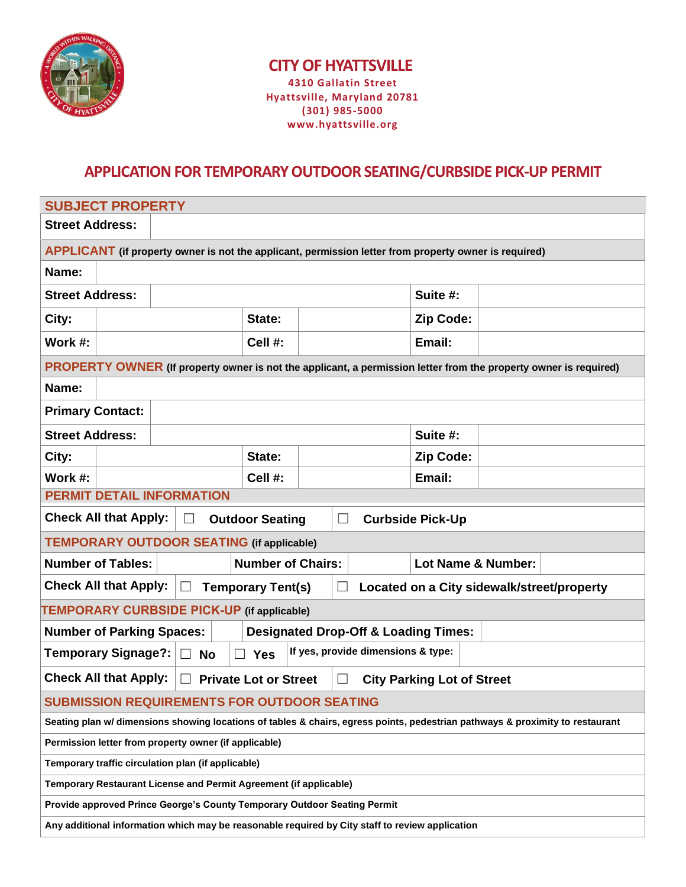

## **CITY OF HYATTSVILLE 4310 Gallatin Street Hyattsville, Maryland 20781 (301) 985-5000 www.hyattsville.org**

## **APPLICATION FOR TEMPORARY OUTDOOR SEATING/CURBSIDE PICK-UP PERMIT**

| <b>SUBJECT PROPERTY</b>                                                                                                       |                          |  |                    |          |  |  |  |
|-------------------------------------------------------------------------------------------------------------------------------|--------------------------|--|--------------------|----------|--|--|--|
| <b>Street Address:</b>                                                                                                        |                          |  |                    |          |  |  |  |
| APPLICANT (if property owner is not the applicant, permission letter from property owner is required)                         |                          |  |                    |          |  |  |  |
| Name:                                                                                                                         |                          |  |                    |          |  |  |  |
| <b>Street Address:</b>                                                                                                        |                          |  |                    | Suite #: |  |  |  |
| City:                                                                                                                         | State:                   |  | Zip Code:          |          |  |  |  |
| Work #:                                                                                                                       | Cell #:                  |  |                    | Email:   |  |  |  |
| PROPERTY OWNER (If property owner is not the applicant, a permission letter from the property owner is required)              |                          |  |                    |          |  |  |  |
| Name:                                                                                                                         |                          |  |                    |          |  |  |  |
| <b>Primary Contact:</b>                                                                                                       |                          |  |                    |          |  |  |  |
| <b>Street Address:</b>                                                                                                        |                          |  | Suite #:           |          |  |  |  |
| City:                                                                                                                         | State:                   |  | Zip Code:          |          |  |  |  |
| Work #:                                                                                                                       | Cell #:                  |  | Email:             |          |  |  |  |
| <b>PERMIT DETAIL INFORMATION</b>                                                                                              |                          |  |                    |          |  |  |  |
| <b>Check All that Apply:</b><br>$\Box$<br><b>Outdoor Seating</b><br>$\Box$<br><b>Curbside Pick-Up</b>                         |                          |  |                    |          |  |  |  |
| <b>TEMPORARY OUTDOOR SEATING (if applicable)</b>                                                                              |                          |  |                    |          |  |  |  |
| <b>Number of Tables:</b>                                                                                                      | <b>Number of Chairs:</b> |  | Lot Name & Number: |          |  |  |  |
| <b>Check All that Apply:</b><br><b>Temporary Tent(s)</b><br>Located on a City sidewalk/street/property<br>$\sqcup$<br>$\Box$  |                          |  |                    |          |  |  |  |
| TEMPORARY CURBSIDE PICK-UP (if applicable)                                                                                    |                          |  |                    |          |  |  |  |
| <b>Number of Parking Spaces:</b><br><b>Designated Drop-Off &amp; Loading Times:</b>                                           |                          |  |                    |          |  |  |  |
| If yes, provide dimensions & type:<br><b>Temporary Signage?:</b><br><b>Yes</b><br><b>No</b><br>$\Box$                         |                          |  |                    |          |  |  |  |
| <b>Check All that Apply:</b><br><b>Private Lot or Street</b><br><b>City Parking Lot of Street</b>                             |                          |  |                    |          |  |  |  |
| <b>SUBMISSION REQUIREMENTS FOR OUTDOOR SEATING</b>                                                                            |                          |  |                    |          |  |  |  |
| Seating plan w/ dimensions showing locations of tables & chairs, egress points, pedestrian pathways & proximity to restaurant |                          |  |                    |          |  |  |  |
| Permission letter from property owner (if applicable)                                                                         |                          |  |                    |          |  |  |  |
| Temporary traffic circulation plan (if applicable)                                                                            |                          |  |                    |          |  |  |  |
| Temporary Restaurant License and Permit Agreement (if applicable)                                                             |                          |  |                    |          |  |  |  |
| Provide approved Prince George's County Temporary Outdoor Seating Permit                                                      |                          |  |                    |          |  |  |  |
| Any additional information which may be reasonable required by City staff to review application                               |                          |  |                    |          |  |  |  |